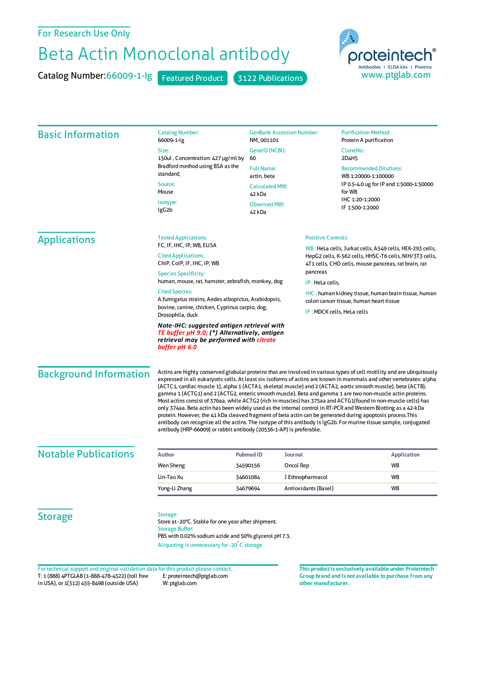## For Research Use Only

## Beta Actin Monoclonal antibody

Catalog Number: 66009-1-Ig Featured Product 3122 Publications



| <b>Basic Information</b>                                                            | <b>Catalog Number:</b><br>66009-1-lg                                                                                                                                                                                                                                                                                                                                                                                                                                                                                                                                                                                                                                                                                                                                                                                                                                                                                                                                                                                         | <b>GenBank Accession Number:</b><br>NM_001101                       |                                                                                                                                                                             | <b>Purification Method:</b><br>Protein A purification                                                     |  |
|-------------------------------------------------------------------------------------|------------------------------------------------------------------------------------------------------------------------------------------------------------------------------------------------------------------------------------------------------------------------------------------------------------------------------------------------------------------------------------------------------------------------------------------------------------------------------------------------------------------------------------------------------------------------------------------------------------------------------------------------------------------------------------------------------------------------------------------------------------------------------------------------------------------------------------------------------------------------------------------------------------------------------------------------------------------------------------------------------------------------------|---------------------------------------------------------------------|-----------------------------------------------------------------------------------------------------------------------------------------------------------------------------|-----------------------------------------------------------------------------------------------------------|--|
|                                                                                     | Size:                                                                                                                                                                                                                                                                                                                                                                                                                                                                                                                                                                                                                                                                                                                                                                                                                                                                                                                                                                                                                        | GenelD (NCBI):                                                      |                                                                                                                                                                             | CloneNo.:                                                                                                 |  |
|                                                                                     | 150ul, Concentration: 427 µg/ml by<br>Bradford method using BSA as the<br>standard;                                                                                                                                                                                                                                                                                                                                                                                                                                                                                                                                                                                                                                                                                                                                                                                                                                                                                                                                          | 60                                                                  |                                                                                                                                                                             | 2D4H5                                                                                                     |  |
|                                                                                     |                                                                                                                                                                                                                                                                                                                                                                                                                                                                                                                                                                                                                                                                                                                                                                                                                                                                                                                                                                                                                              | <b>Full Name:</b><br>actin, beta<br><b>Calculated MW:</b><br>42 kDa |                                                                                                                                                                             | <b>Recommended Dilutions:</b><br>WB 1:20000-1:100000<br>IP 0.5-4.0 ug for IP and 1:5000-1:50000<br>for WB |  |
|                                                                                     | Source:<br>Mouse                                                                                                                                                                                                                                                                                                                                                                                                                                                                                                                                                                                                                                                                                                                                                                                                                                                                                                                                                                                                             |                                                                     |                                                                                                                                                                             |                                                                                                           |  |
|                                                                                     | Isotype:<br>lgG <sub>2</sub> b                                                                                                                                                                                                                                                                                                                                                                                                                                                                                                                                                                                                                                                                                                                                                                                                                                                                                                                                                                                               | <b>Observed MW:</b><br>42 kDa                                       |                                                                                                                                                                             | IHC 1:20-1:2000<br>IF 1:500-1:2000                                                                        |  |
| <b>Applications</b>                                                                 | <b>Tested Applications:</b><br>FC, IF, IHC, IP, WB, ELISA                                                                                                                                                                                                                                                                                                                                                                                                                                                                                                                                                                                                                                                                                                                                                                                                                                                                                                                                                                    | <b>Positive Controls:</b>                                           |                                                                                                                                                                             |                                                                                                           |  |
|                                                                                     | <b>Cited Applications:</b><br>ChIP, CoIP, IF, IHC, IP, WB<br><b>Species Specificity:</b><br>human, mouse, rat, hamster, zebrafish, monkey, dog<br><b>Cited Species:</b><br>A.fumigatus strains, Aedes albopictus, Arabidopsis,<br>bovine, canine, chicken, Cyprinus carpio, dog,<br>Drosophila, duck                                                                                                                                                                                                                                                                                                                                                                                                                                                                                                                                                                                                                                                                                                                         |                                                                     | WB: HeLa cells, Jurkat cells, A549 cells, HEK-293 cells,<br>HepG2 cells, K-562 cells, HHSC-T6 cells, NIH/3T3 cells,<br>4T1 cells, CHO cells, mouse pancreas, rat brain, rat |                                                                                                           |  |
|                                                                                     |                                                                                                                                                                                                                                                                                                                                                                                                                                                                                                                                                                                                                                                                                                                                                                                                                                                                                                                                                                                                                              |                                                                     | pancreas                                                                                                                                                                    | IP: HeLa cells,                                                                                           |  |
|                                                                                     |                                                                                                                                                                                                                                                                                                                                                                                                                                                                                                                                                                                                                                                                                                                                                                                                                                                                                                                                                                                                                              |                                                                     |                                                                                                                                                                             |                                                                                                           |  |
|                                                                                     |                                                                                                                                                                                                                                                                                                                                                                                                                                                                                                                                                                                                                                                                                                                                                                                                                                                                                                                                                                                                                              |                                                                     |                                                                                                                                                                             | <b>IHC:</b> human kidney tissue, human brain tissue, human<br>colon cancer tissue, human heart tissue     |  |
|                                                                                     |                                                                                                                                                                                                                                                                                                                                                                                                                                                                                                                                                                                                                                                                                                                                                                                                                                                                                                                                                                                                                              |                                                                     | IF: MDCK cells, HeLa cells                                                                                                                                                  |                                                                                                           |  |
|                                                                                     | Note-IHC: suggested antigen retrieval with<br>TE buffer pH 9.0; (*) Alternatively, antigen<br>retrieval may be performed with citrate<br>buffer pH 6.0                                                                                                                                                                                                                                                                                                                                                                                                                                                                                                                                                                                                                                                                                                                                                                                                                                                                       |                                                                     |                                                                                                                                                                             |                                                                                                           |  |
| <b>Background Information</b>                                                       | Actins are highly conserved globular proteins that are involved in various types of cell motility and are ubiquitously<br>expressed in all eukaryotic cells. At least six isoforms of actins are known in mammals and other vertebrates: alpha<br>(ACTC1, cardiac muscle 1), alpha 1 (ACTA1, skeletal muscle) and 2 (ACTA2, aortic smooth muscle), beta (ACTB),<br>gamma 1 (ACTG1) and 2 (ACTG2, enteric smooth muscle). Beta and gamma 1 are two non-muscle actin proteins.<br>Most actins consist of 376aa, while ACTG2 (rich in muscles) has 375aa and ACTG1(found in non-muscle cells) has<br>only 374aa. Beta actin has been widely used as the internal control in RT-PCR and Western Blotting as a 42-kDa<br>protein. However, the 41 kDa cleaved fragment of beta actin can be generated during apoptosis process. This<br>antibody can recognize all the actins. The isotype of this antibody is IgG2b. For murine tissue sample, conjugated<br>antibody (HRP-66009) or rabbit antibody (20536-1-AP) is preferable. |                                                                     |                                                                                                                                                                             |                                                                                                           |  |
| <b>Notable Publications</b>                                                         | <b>Author</b>                                                                                                                                                                                                                                                                                                                                                                                                                                                                                                                                                                                                                                                                                                                                                                                                                                                                                                                                                                                                                | <b>Pubmed ID</b>                                                    | Journal                                                                                                                                                                     | <b>Application</b>                                                                                        |  |
|                                                                                     | Wen Sheng                                                                                                                                                                                                                                                                                                                                                                                                                                                                                                                                                                                                                                                                                                                                                                                                                                                                                                                                                                                                                    | 34590156                                                            | Oncol Rep                                                                                                                                                                   | WB                                                                                                        |  |
|                                                                                     | Lin-Tao Xu                                                                                                                                                                                                                                                                                                                                                                                                                                                                                                                                                                                                                                                                                                                                                                                                                                                                                                                                                                                                                   | 34601084                                                            | J Ethnopharmacol                                                                                                                                                            | <b>WB</b>                                                                                                 |  |
|                                                                                     | Yong-Li Zhang                                                                                                                                                                                                                                                                                                                                                                                                                                                                                                                                                                                                                                                                                                                                                                                                                                                                                                                                                                                                                | 34679694                                                            | Antioxidants (Basel)                                                                                                                                                        | WB                                                                                                        |  |
| <b>Storage</b>                                                                      | Storage:<br>Store at -20°C. Stable for one year after shipment.<br><b>Storage Buffer:</b><br>PBS with 0.02% sodium azide and 50% glycerol pH 7.3.<br>Aliquoting is unnecessary for -20°C storage                                                                                                                                                                                                                                                                                                                                                                                                                                                                                                                                                                                                                                                                                                                                                                                                                             |                                                                     |                                                                                                                                                                             |                                                                                                           |  |
| For technical support and original validation data for this product please contact: |                                                                                                                                                                                                                                                                                                                                                                                                                                                                                                                                                                                                                                                                                                                                                                                                                                                                                                                                                                                                                              |                                                                     | This product is exclusively available under Proteintech                                                                                                                     |                                                                                                           |  |

T: 1 (888) 4PTGLAB (1-888-478-4522) (toll free in USA), or 1(312) 455-8498 (outside USA) E: proteintech@ptglab.com W: ptglab.com

**Group brand and is not available to purchase from any other manufacturer.**